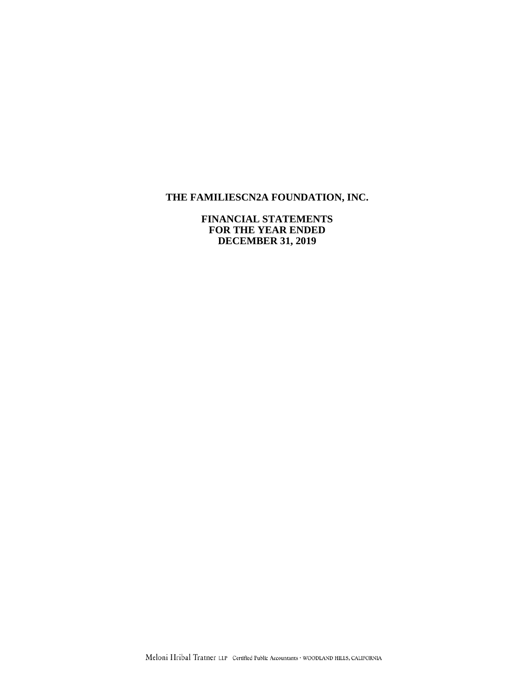# **THE FAMILIESCN2A FOUNDATION, INC.**

**FINANCIAL STATEMENTS FOR THE YEAR ENDED DECEMBER 31, 2019**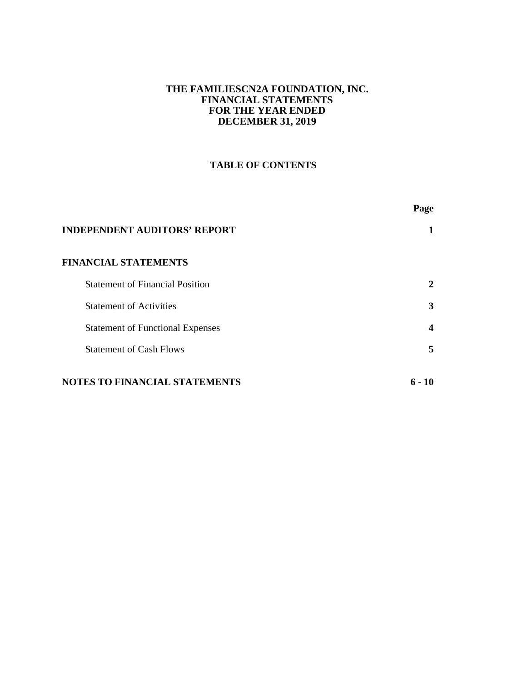## **THE FAMILIESCN2A FOUNDATION, INC. FINANCIAL STATEMENTS FOR THE YEAR ENDED DECEMBER 31, 2019**

## **TABLE OF CONTENTS**

|                                         | Page             |
|-----------------------------------------|------------------|
| <b>INDEPENDENT AUDITORS' REPORT</b>     | 1                |
| <b>FINANCIAL STATEMENTS</b>             |                  |
| <b>Statement of Financial Position</b>  | 2                |
| <b>Statement of Activities</b>          | 3                |
| <b>Statement of Functional Expenses</b> | $\boldsymbol{4}$ |
| <b>Statement of Cash Flows</b>          | 5                |
| <b>NOTES TO FINANCIAL STATEMENTS</b>    | 10               |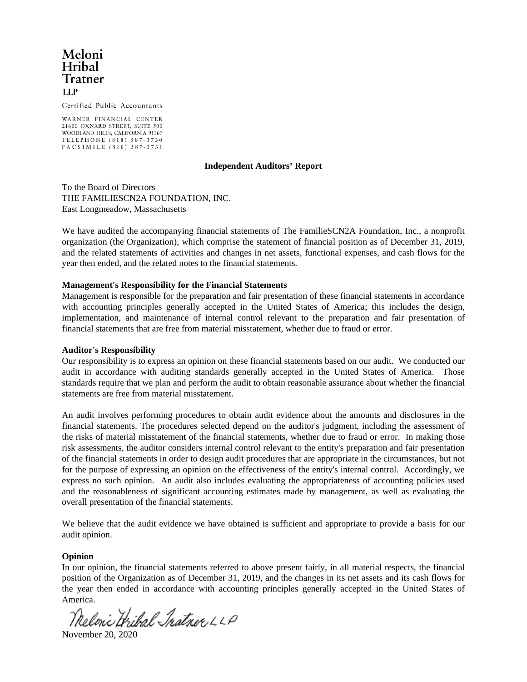

Certified Public Accountants

WARNER FINANCIAL CENTER 21600 OXNARD STREET, SUITE 500 WOODLAND HILLS, CALIFORNIA 91367  $\verb|TELEPHONE (818) 587-3730|$  ${\tt FACSIMILE \ (818) \ 587-3731}$ 

#### **Independent Auditors' Report**

To the Board of Directors THE FAMILIESCN2A FOUNDATION, INC. East Longmeadow, Massachusetts

We have audited the accompanying financial statements of The FamilieSCN2A Foundation, Inc., a nonprofit organization (the Organization), which comprise the statement of financial position as of December 31, 2019, and the related statements of activities and changes in net assets, functional expenses, and cash flows for the year then ended, and the related notes to the financial statements.

#### **Management's Responsibility for the Financial Statements**

Management is responsible for the preparation and fair presentation of these financial statements in accordance with accounting principles generally accepted in the United States of America; this includes the design, implementation, and maintenance of internal control relevant to the preparation and fair presentation of financial statements that are free from material misstatement, whether due to fraud or error.

#### **Auditor's Responsibility**

Our responsibility is to express an opinion on these financial statements based on our audit. We conducted our audit in accordance with auditing standards generally accepted in the United States of America. Those standards require that we plan and perform the audit to obtain reasonable assurance about whether the financial statements are free from material misstatement.

An audit involves performing procedures to obtain audit evidence about the amounts and disclosures in the financial statements. The procedures selected depend on the auditor's judgment, including the assessment of the risks of material misstatement of the financial statements, whether due to fraud or error. In making those risk assessments, the auditor considers internal control relevant to the entity's preparation and fair presentation of the financial statements in order to design audit procedures that are appropriate in the circumstances, but not for the purpose of expressing an opinion on the effectiveness of the entity's internal control. Accordingly, we express no such opinion. An audit also includes evaluating the appropriateness of accounting policies used and the reasonableness of significant accounting estimates made by management, as well as evaluating the overall presentation of the financial statements.

We believe that the audit evidence we have obtained is sufficient and appropriate to provide a basis for our audit opinion.

#### **Opinion**

In our opinion, the financial statements referred to above present fairly, in all material respects, the financial position of the Organization as of December 31, 2019, and the changes in its net assets and its cash flows for the year then ended in accordance with accounting principles generally accepted in the United States of America.

mi Hribal Inatner LLP

November 20, 2020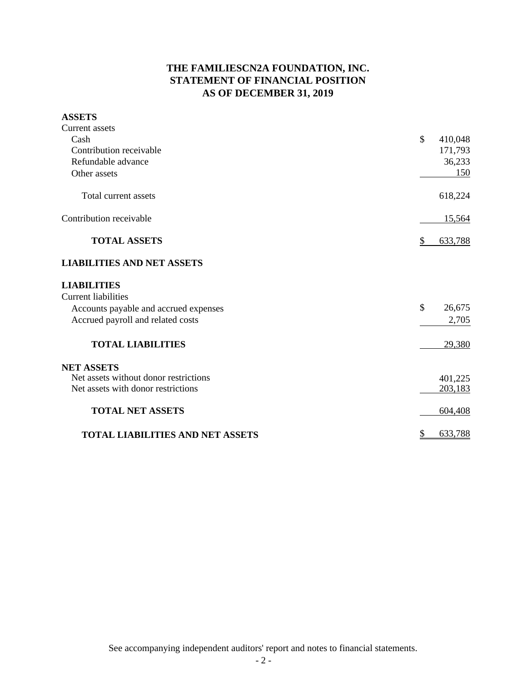# **THE FAMILIESCN2A FOUNDATION, INC. STATEMENT OF FINANCIAL POSITION AS OF DECEMBER 31, 2019**

| <b>ASSETS</b>                           |                           |
|-----------------------------------------|---------------------------|
| Current assets                          |                           |
| Cash                                    | \$<br>410,048             |
| Contribution receivable                 | 171,793                   |
| Refundable advance                      | 36,233                    |
| Other assets                            | 150                       |
| Total current assets                    | 618,224                   |
| Contribution receivable                 | 15,564                    |
| <b>TOTAL ASSETS</b>                     | 633,788                   |
| <b>LIABILITIES AND NET ASSETS</b>       |                           |
| <b>LIABILITIES</b>                      |                           |
| <b>Current liabilities</b>              |                           |
| Accounts payable and accrued expenses   | \$<br>26,675              |
| Accrued payroll and related costs       | 2,705                     |
| <b>TOTAL LIABILITIES</b>                | 29,380                    |
| <b>NET ASSETS</b>                       |                           |
| Net assets without donor restrictions   | 401,225                   |
| Net assets with donor restrictions      | 203,183                   |
| <b>TOTAL NET ASSETS</b>                 | 604,408                   |
| <b>TOTAL LIABILITIES AND NET ASSETS</b> | $\overline{v}$<br>633,788 |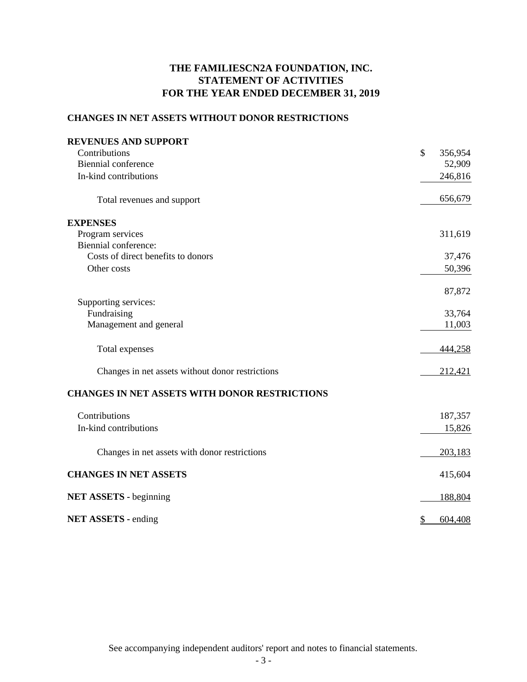# **THE FAMILIESCN2A FOUNDATION, INC. FOR THE YEAR ENDED DECEMBER 31, 2019 STATEMENT OF ACTIVITIES**

## **CHANGES IN NET ASSETS WITHOUT DONOR RESTRICTIONS**

| <b>REVENUES AND SUPPORT</b>                          |               |
|------------------------------------------------------|---------------|
| Contributions                                        | \$<br>356,954 |
| Biennial conference                                  | 52,909        |
| In-kind contributions                                | 246,816       |
| Total revenues and support                           | 656,679       |
| <b>EXPENSES</b>                                      |               |
| Program services                                     | 311,619       |
| Biennial conference:                                 |               |
| Costs of direct benefits to donors                   | 37,476        |
| Other costs                                          | 50,396        |
|                                                      | 87,872        |
| Supporting services:                                 |               |
| Fundraising                                          | 33,764        |
| Management and general                               | 11,003        |
| Total expenses                                       | 444,258       |
| Changes in net assets without donor restrictions     | 212,421       |
| <b>CHANGES IN NET ASSETS WITH DONOR RESTRICTIONS</b> |               |
| Contributions                                        | 187,357       |
| In-kind contributions                                | 15,826        |
| Changes in net assets with donor restrictions        | 203,183       |
| <b>CHANGES IN NET ASSETS</b>                         | 415,604       |
| <b>NET ASSETS</b> - beginning                        | 188,804       |
| <b>NET ASSETS</b> - ending                           | \$<br>604,408 |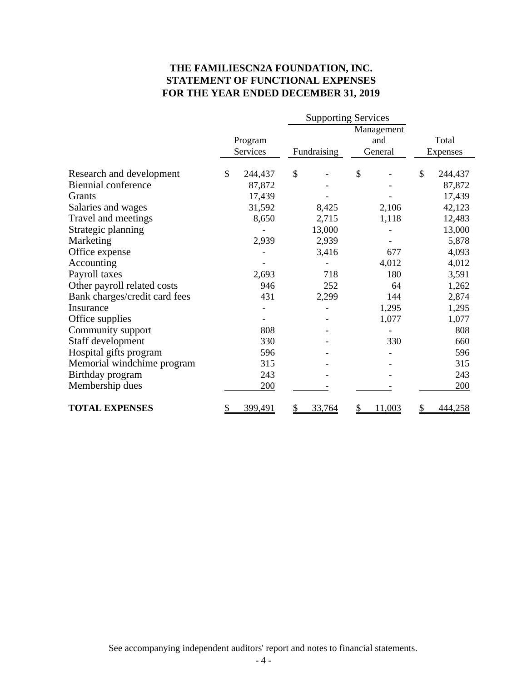# **THE FAMILIESCN2A FOUNDATION, INC. STATEMENT OF FUNCTIONAL EXPENSES FOR THE YEAR ENDED DECEMBER 31, 2019**

|                               |               | <b>Supporting Services</b> |             |               |            |               |
|-------------------------------|---------------|----------------------------|-------------|---------------|------------|---------------|
|                               |               |                            |             |               | Management |               |
|                               | Program       |                            |             |               | and        | Total         |
|                               | Services      |                            | Fundraising |               | General    | Expenses      |
|                               |               |                            |             |               |            |               |
| Research and development      | \$<br>244,437 | \$                         |             | \$            |            | \$<br>244,437 |
| Biennial conference           | 87,872        |                            |             |               |            | 87,872        |
| Grants                        | 17,439        |                            |             |               |            | 17,439        |
| Salaries and wages            | 31,592        |                            | 8,425       |               | 2,106      | 42,123        |
| Travel and meetings           | 8,650         |                            | 2,715       |               | 1,118      | 12,483        |
| Strategic planning            |               |                            | 13,000      |               |            | 13,000        |
| Marketing                     | 2,939         |                            | 2,939       |               |            | 5,878         |
| Office expense                |               |                            | 3,416       |               | 677        | 4,093         |
| Accounting                    |               |                            |             |               | 4,012      | 4,012         |
| Payroll taxes                 | 2,693         |                            | 718         |               | 180        | 3,591         |
| Other payroll related costs   | 946           |                            | 252         |               | 64         | 1,262         |
| Bank charges/credit card fees | 431           |                            | 2,299       |               | 144        | 2,874         |
| Insurance                     |               |                            |             |               | 1,295      | 1,295         |
| Office supplies               |               |                            |             |               | 1,077      | 1,077         |
| Community support             | 808           |                            |             |               |            | 808           |
| Staff development             | 330           |                            |             |               | 330        | 660           |
| Hospital gifts program        | 596           |                            |             |               |            | 596           |
| Memorial windchime program    | 315           |                            |             |               |            | 315           |
| Birthday program              | 243           |                            |             |               |            | 243           |
| Membership dues               | 200           |                            |             |               |            | 200           |
| <b>TOTAL EXPENSES</b>         | \$<br>399,491 | \$                         | 33,764      | $\frac{1}{2}$ | 11,003     | \$<br>444,258 |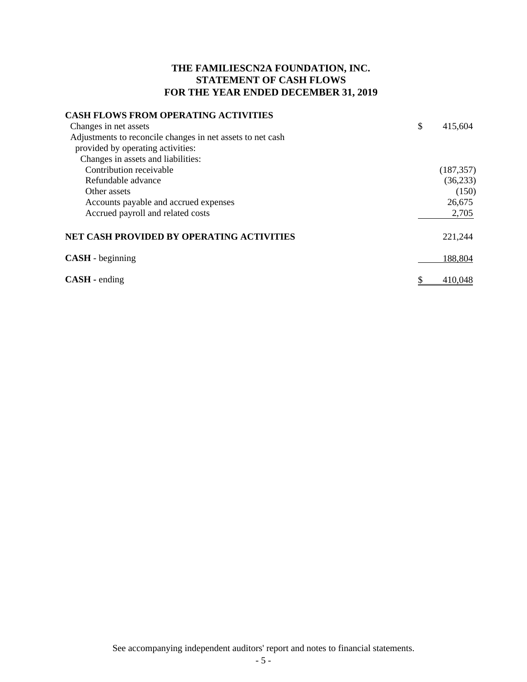# **THE FAMILIESCN2A FOUNDATION, INC. STATEMENT OF CASH FLOWS FOR THE YEAR ENDED DECEMBER 31, 2019**

| <b>CASH FLOWS FROM OPERATING ACTIVITIES</b>                |               |
|------------------------------------------------------------|---------------|
| Changes in net assets                                      | \$<br>415,604 |
| Adjustments to reconcile changes in net assets to net cash |               |
| provided by operating activities:                          |               |
| Changes in assets and liabilities:                         |               |
| Contribution receivable                                    | (187, 357)    |
| Refundable advance                                         | (36, 233)     |
| Other assets                                               | (150)         |
| Accounts payable and accrued expenses                      | 26,675        |
| Accrued payroll and related costs                          | 2,705         |
| NET CASH PROVIDED BY OPERATING ACTIVITIES                  | 221,244       |
| <b>CASH</b> - beginning                                    | 188,804       |
| $CASH - ending$                                            | \$<br>410,048 |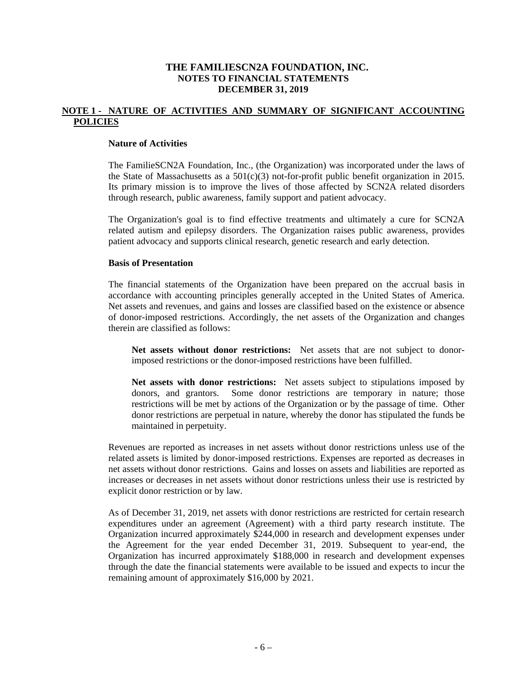## **NOTE 1 - NATURE OF ACTIVITIES AND SUMMARY OF SIGNIFICANT ACCOUNTING POLICIES**

#### **Nature of Activities**

The FamilieSCN2A Foundation, Inc., (the Organization) was incorporated under the laws of the State of Massachusetts as a  $501(c)(3)$  not-for-profit public benefit organization in 2015. Its primary mission is to improve the lives of those affected by SCN2A related disorders through research, public awareness, family support and patient advocacy.

The Organization's goal is to find effective treatments and ultimately a cure for SCN2A related autism and epilepsy disorders. The Organization raises public awareness, provides patient advocacy and supports clinical research, genetic research and early detection.

### **Basis of Presentation**

The financial statements of the Organization have been prepared on the accrual basis in accordance with accounting principles generally accepted in the United States of America. Net assets and revenues, and gains and losses are classified based on the existence or absence of donor-imposed restrictions. Accordingly, the net assets of the Organization and changes therein are classified as follows:

**Net assets without donor restrictions:** Net assets that are not subject to donorimposed restrictions or the donor-imposed restrictions have been fulfilled.

**Net assets with donor restrictions:** Net assets subject to stipulations imposed by donors, and grantors. Some donor restrictions are temporary in nature; those restrictions will be met by actions of the Organization or by the passage of time. Other donor restrictions are perpetual in nature, whereby the donor has stipulated the funds be maintained in perpetuity.

Revenues are reported as increases in net assets without donor restrictions unless use of the related assets is limited by donor-imposed restrictions. Expenses are reported as decreases in net assets without donor restrictions. Gains and losses on assets and liabilities are reported as increases or decreases in net assets without donor restrictions unless their use is restricted by explicit donor restriction or by law.

As of December 31, 2019, net assets with donor restrictions are restricted for certain research expenditures under an agreement (Agreement) with a third party research institute. The Organization incurred approximately \$244,000 in research and development expenses under the Agreement for the year ended December 31, 2019. Subsequent to year-end, the Organization has incurred approximately \$188,000 in research and development expenses through the date the financial statements were available to be issued and expects to incur the remaining amount of approximately \$16,000 by 2021.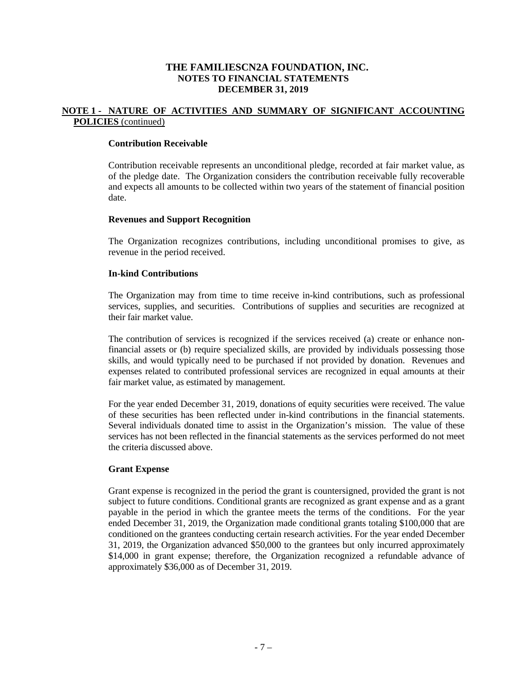## **NOTE 1 - NATURE OF ACTIVITIES AND SUMMARY OF SIGNIFICANT ACCOUNTING POLICIES** (continued)

#### **Contribution Receivable**

Contribution receivable represents an unconditional pledge, recorded at fair market value, as of the pledge date. The Organization considers the contribution receivable fully recoverable and expects all amounts to be collected within two years of the statement of financial position date.

### **Revenues and Support Recognition**

The Organization recognizes contributions, including unconditional promises to give, as revenue in the period received.

### **In-kind Contributions**

The Organization may from time to time receive in-kind contributions, such as professional services, supplies, and securities. Contributions of supplies and securities are recognized at their fair market value.

The contribution of services is recognized if the services received (a) create or enhance nonfinancial assets or (b) require specialized skills, are provided by individuals possessing those skills, and would typically need to be purchased if not provided by donation. Revenues and expenses related to contributed professional services are recognized in equal amounts at their fair market value, as estimated by management.

For the year ended December 31, 2019, donations of equity securities were received. The value of these securities has been reflected under in-kind contributions in the financial statements. Several individuals donated time to assist in the Organization's mission. The value of these services has not been reflected in the financial statements as the services performed do not meet the criteria discussed above.

## **Grant Expense**

Grant expense is recognized in the period the grant is countersigned, provided the grant is not subject to future conditions. Conditional grants are recognized as grant expense and as a grant payable in the period in which the grantee meets the terms of the conditions. For the year ended December 31, 2019, the Organization made conditional grants totaling \$100,000 that are conditioned on the grantees conducting certain research activities. For the year ended December 31, 2019, the Organization advanced \$50,000 to the grantees but only incurred approximately \$14,000 in grant expense; therefore, the Organization recognized a refundable advance of approximately \$36,000 as of December 31, 2019.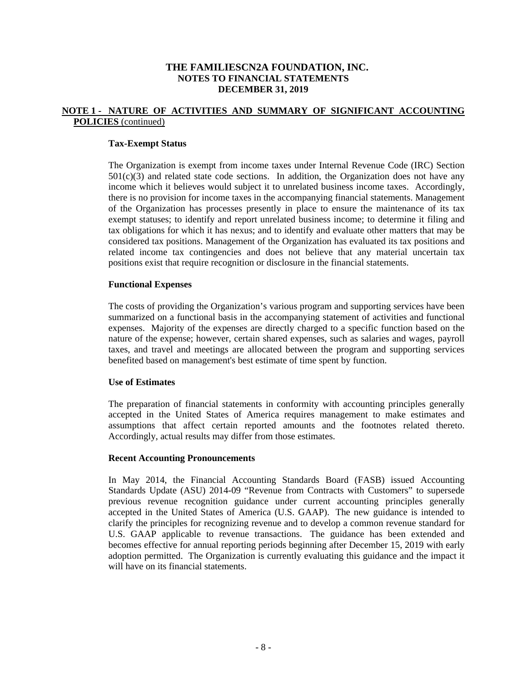## **NOTE 1 - NATURE OF ACTIVITIES AND SUMMARY OF SIGNIFICANT ACCOUNTING POLICIES** (continued)

### **Tax-Exempt Status**

The Organization is exempt from income taxes under Internal Revenue Code (IRC) Section  $501(c)(3)$  and related state code sections. In addition, the Organization does not have any income which it believes would subject it to unrelated business income taxes. Accordingly, there is no provision for income taxes in the accompanying financial statements. Management of the Organization has processes presently in place to ensure the maintenance of its tax exempt statuses; to identify and report unrelated business income; to determine it filing and tax obligations for which it has nexus; and to identify and evaluate other matters that may be considered tax positions. Management of the Organization has evaluated its tax positions and related income tax contingencies and does not believe that any material uncertain tax positions exist that require recognition or disclosure in the financial statements.

### **Functional Expenses**

The costs of providing the Organization's various program and supporting services have been summarized on a functional basis in the accompanying statement of activities and functional expenses. Majority of the expenses are directly charged to a specific function based on the nature of the expense; however, certain shared expenses, such as salaries and wages, payroll taxes, and travel and meetings are allocated between the program and supporting services benefited based on management's best estimate of time spent by function.

## **Use of Estimates**

The preparation of financial statements in conformity with accounting principles generally accepted in the United States of America requires management to make estimates and assumptions that affect certain reported amounts and the footnotes related thereto. Accordingly, actual results may differ from those estimates.

#### **Recent Accounting Pronouncements**

In May 2014, the Financial Accounting Standards Board (FASB) issued Accounting Standards Update (ASU) 2014-09 "Revenue from Contracts with Customers" to supersede previous revenue recognition guidance under current accounting principles generally accepted in the United States of America (U.S. GAAP). The new guidance is intended to clarify the principles for recognizing revenue and to develop a common revenue standard for U.S. GAAP applicable to revenue transactions. The guidance has been extended and becomes effective for annual reporting periods beginning after December 15, 2019 with early adoption permitted. The Organization is currently evaluating this guidance and the impact it will have on its financial statements.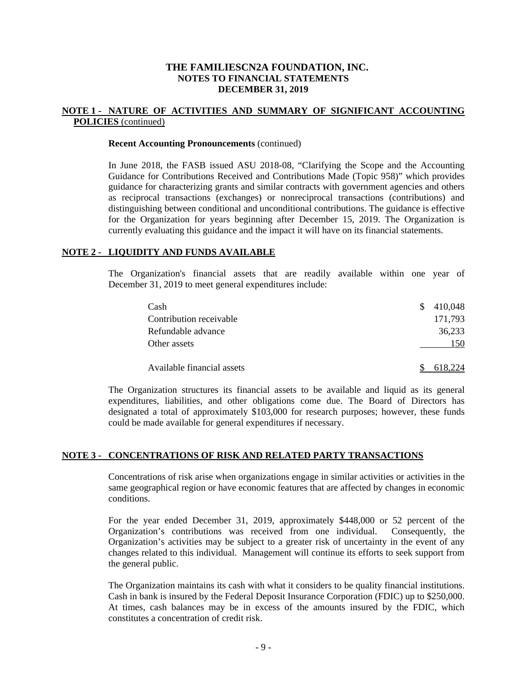## **NOTE 1 - NATURE OF ACTIVITIES AND SUMMARY OF SIGNIFICANT ACCOUNTING POLICIES** (continued)

#### **Recent Accounting Pronouncements** (continued)

In June 2018, the FASB issued ASU 2018-08, "Clarifying the Scope and the Accounting Guidance for Contributions Received and Contributions Made (Topic 958)" which provides guidance for characterizing grants and similar contracts with government agencies and others as reciprocal transactions (exchanges) or nonreciprocal transactions (contributions) and distinguishing between conditional and unconditional contributions. The guidance is effective for the Organization for years beginning after December 15, 2019. The Organization is currently evaluating this guidance and the impact it will have on its financial statements.

### **NOTE 2 - LIQUIDITY AND FUNDS AVAILABLE**

The Organization's financial assets that are readily available within one year of December 31, 2019 to meet general expenditures include:

| Cash                       | 410.048<br>\$. |
|----------------------------|----------------|
| Contribution receivable    | 171,793        |
| Refundable advance         | 36,233         |
| Other assets               | 150            |
|                            |                |
| Available financial assets | 618,224        |

The Organization structures its financial assets to be available and liquid as its general expenditures, liabilities, and other obligations come due. The Board of Directors has designated a total of approximately \$103,000 for research purposes; however, these funds could be made available for general expenditures if necessary.

## **NOTE 3 - CONCENTRATIONS OF RISK AND RELATED PARTY TRANSACTIONS**

Concentrations of risk arise when organizations engage in similar activities or activities in the same geographical region or have economic features that are affected by changes in economic conditions.

For the year ended December 31, 2019, approximately \$448,000 or 52 percent of the Organization's contributions was received from one individual. Consequently, the Organization's activities may be subject to a greater risk of uncertainty in the event of any changes related to this individual. Management will continue its efforts to seek support from the general public.

The Organization maintains its cash with what it considers to be quality financial institutions. Cash in bank is insured by the Federal Deposit Insurance Corporation (FDIC) up to \$250,000. At times, cash balances may be in excess of the amounts insured by the FDIC, which constitutes a concentration of credit risk.